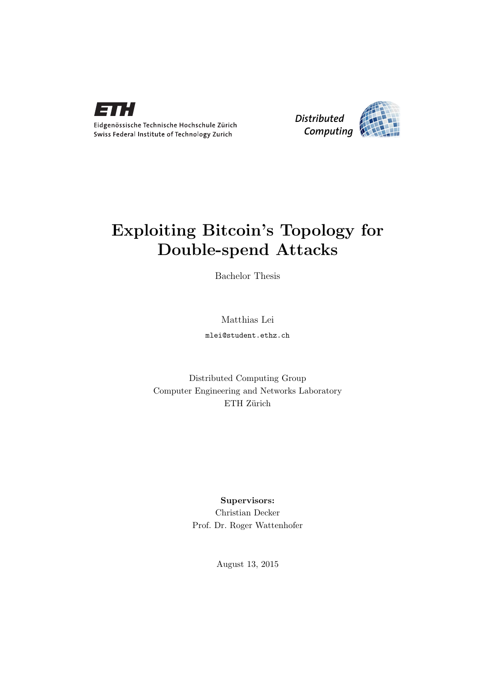



## Exploiting Bitcoin's Topology for Double-spend Attacks

Bachelor Thesis

Matthias Lei

mlei@student.ethz.ch

Distributed Computing Group Computer Engineering and Networks Laboratory ETH Zürich

> Supervisors: Christian Decker Prof. Dr. Roger Wattenhofer

> > August 13, 2015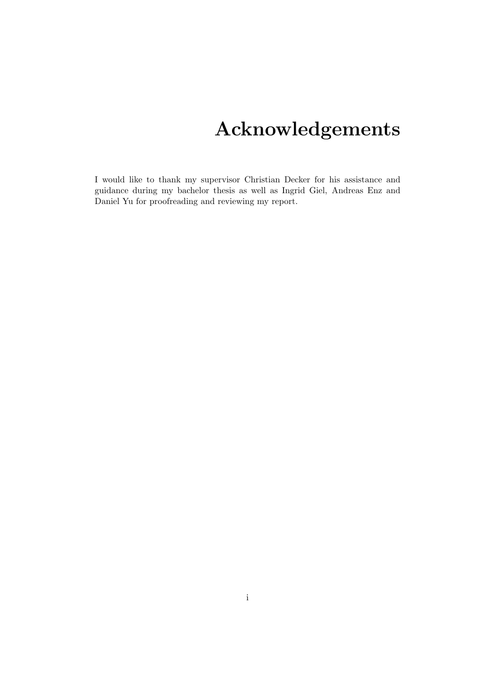# Acknowledgements

<span id="page-1-0"></span>I would like to thank my supervisor Christian Decker for his assistance and guidance during my bachelor thesis as well as Ingrid Giel, Andreas Enz and Daniel Yu for proofreading and reviewing my report.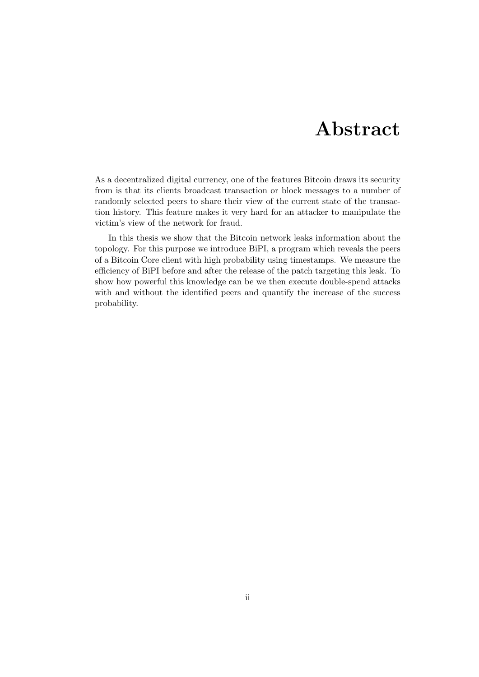## Abstract

<span id="page-2-0"></span>As a decentralized digital currency, one of the features Bitcoin draws its security from is that its clients broadcast transaction or block messages to a number of randomly selected peers to share their view of the current state of the transaction history. This feature makes it very hard for an attacker to manipulate the victim's view of the network for fraud.

In this thesis we show that the Bitcoin network leaks information about the topology. For this purpose we introduce BiPI, a program which reveals the peers of a Bitcoin Core client with high probability using timestamps. We measure the efficiency of BiPI before and after the release of the patch targeting this leak. To show how powerful this knowledge can be we then execute double-spend attacks with and without the identified peers and quantify the increase of the success probability.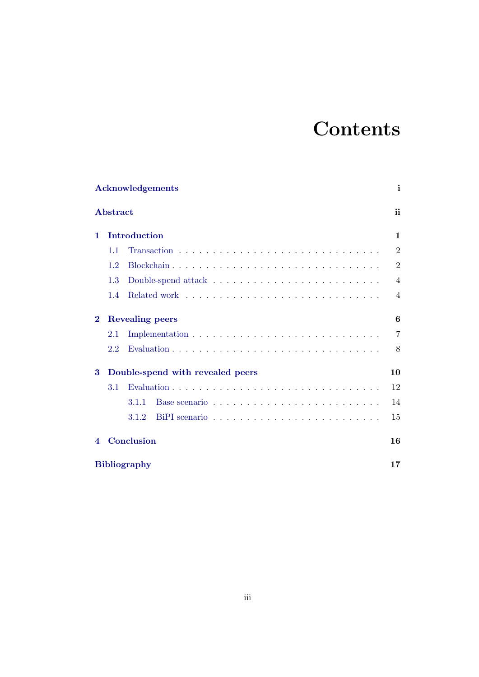## **Contents**

|          |                                  | <b>Acknowledgements</b> | i              |  |  |  |  |
|----------|----------------------------------|-------------------------|----------------|--|--|--|--|
|          | Abstract                         |                         | ii             |  |  |  |  |
| 1.       |                                  | Introduction            | $\mathbf{1}$   |  |  |  |  |
|          | 1.1                              |                         | $\overline{2}$ |  |  |  |  |
|          | 1.2                              |                         | $\overline{2}$ |  |  |  |  |
|          | 1.3                              |                         | $\overline{4}$ |  |  |  |  |
|          | 1.4                              |                         | $\overline{4}$ |  |  |  |  |
| $\bf{2}$ |                                  | <b>Revealing peers</b>  | 6              |  |  |  |  |
|          | $2.1\,$                          |                         | 7              |  |  |  |  |
|          | 2.2                              |                         | 8              |  |  |  |  |
| 3        | Double-spend with revealed peers |                         |                |  |  |  |  |
|          | 3.1                              |                         | 12             |  |  |  |  |
|          |                                  | 3.1.1                   | 14             |  |  |  |  |
|          |                                  | 3.1.2                   | 15             |  |  |  |  |
| 4        |                                  | Conclusion              | 16             |  |  |  |  |
|          |                                  | <b>Bibliography</b>     | 17             |  |  |  |  |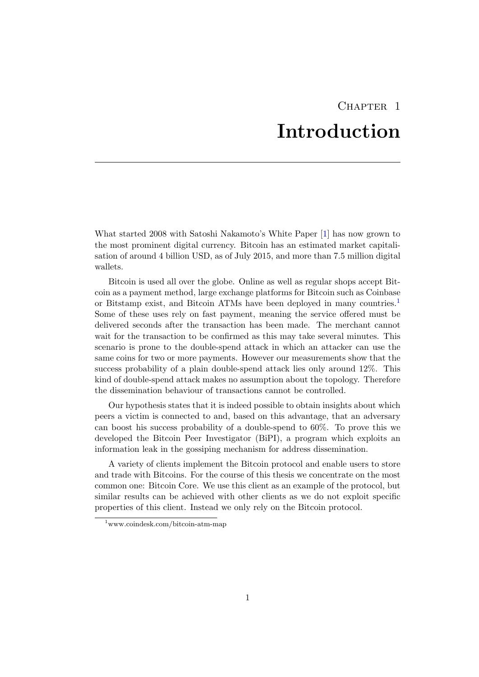## CHAPTER<sub>1</sub> Introduction

<span id="page-4-0"></span>What started 2008 with Satoshi Nakamoto's White Paper [\[1\]](#page-20-1) has now grown to the most prominent digital currency. Bitcoin has an estimated market capitalisation of around 4 billion USD, as of July 2015, and more than 7.5 million digital wallets.

Bitcoin is used all over the globe. Online as well as regular shops accept Bitcoin as a payment method, large exchange platforms for Bitcoin such as Coinbase or Bitstamp exist, and Bitcoin ATMs have been deployed in many countries.[1](#page-4-1) Some of these uses rely on fast payment, meaning the service offered must be delivered seconds after the transaction has been made. The merchant cannot wait for the transaction to be confirmed as this may take several minutes. This scenario is prone to the double-spend attack in which an attacker can use the same coins for two or more payments. However our measurements show that the success probability of a plain double-spend attack lies only around 12%. This kind of double-spend attack makes no assumption about the topology. Therefore the dissemination behaviour of transactions cannot be controlled.

Our hypothesis states that it is indeed possible to obtain insights about which peers a victim is connected to and, based on this advantage, that an adversary can boost his success probability of a double-spend to 60%. To prove this we developed the Bitcoin Peer Investigator (BiPI), a program which exploits an information leak in the gossiping mechanism for address dissemination.

A variety of clients implement the Bitcoin protocol and enable users to store and trade with Bitcoins. For the course of this thesis we concentrate on the most common one: Bitcoin Core. We use this client as an example of the protocol, but similar results can be achieved with other clients as we do not exploit specific properties of this client. Instead we only rely on the Bitcoin protocol.

<span id="page-4-1"></span><sup>1</sup>www.coindesk.com/bitcoin-atm-map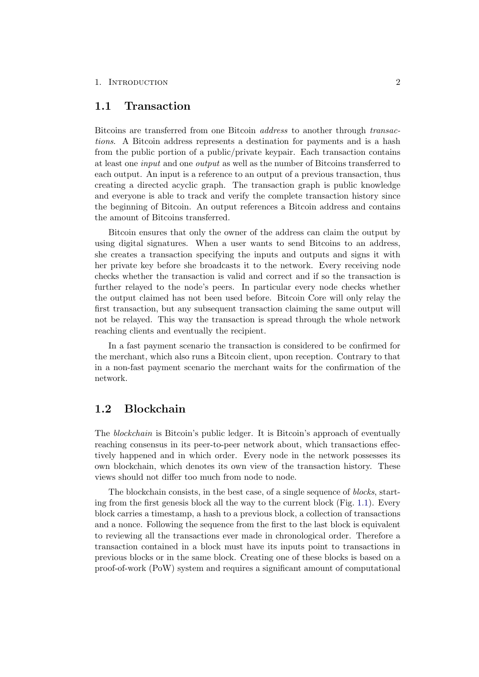#### 1. INTRODUCTION 2

### <span id="page-5-0"></span>1.1 Transaction

Bitcoins are transferred from one Bitcoin address to another through transactions. A Bitcoin address represents a destination for payments and is a hash from the public portion of a public/private keypair. Each transaction contains at least one input and one output as well as the number of Bitcoins transferred to each output. An input is a reference to an output of a previous transaction, thus creating a directed acyclic graph. The transaction graph is public knowledge and everyone is able to track and verify the complete transaction history since the beginning of Bitcoin. An output references a Bitcoin address and contains the amount of Bitcoins transferred.

Bitcoin ensures that only the owner of the address can claim the output by using digital signatures. When a user wants to send Bitcoins to an address, she creates a transaction specifying the inputs and outputs and signs it with her private key before she broadcasts it to the network. Every receiving node checks whether the transaction is valid and correct and if so the transaction is further relayed to the node's peers. In particular every node checks whether the output claimed has not been used before. Bitcoin Core will only relay the first transaction, but any subsequent transaction claiming the same output will not be relayed. This way the transaction is spread through the whole network reaching clients and eventually the recipient.

In a fast payment scenario the transaction is considered to be confirmed for the merchant, which also runs a Bitcoin client, upon reception. Contrary to that in a non-fast payment scenario the merchant waits for the confirmation of the network.

### <span id="page-5-1"></span>1.2 Blockchain

The blockchain is Bitcoin's public ledger. It is Bitcoin's approach of eventually reaching consensus in its peer-to-peer network about, which transactions effectively happened and in which order. Every node in the network possesses its own blockchain, which denotes its own view of the transaction history. These views should not differ too much from node to node.

The blockchain consists, in the best case, of a single sequence of *blocks*, starting from the first genesis block all the way to the current block (Fig. [1.1\)](#page-6-0). Every block carries a timestamp, a hash to a previous block, a collection of transactions and a nonce. Following the sequence from the first to the last block is equivalent to reviewing all the transactions ever made in chronological order. Therefore a transaction contained in a block must have its inputs point to transactions in previous blocks or in the same block. Creating one of these blocks is based on a proof-of-work (PoW) system and requires a significant amount of computational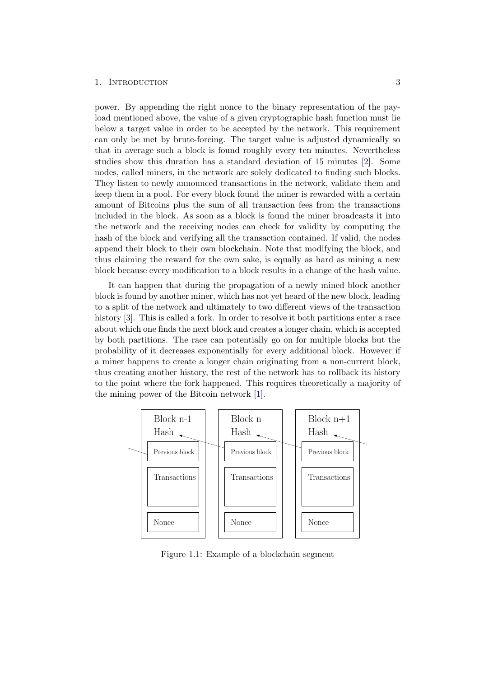#### 1. INTRODUCTION 3

power. By appending the right nonce to the binary representation of the payload mentioned above, the value of a given cryptographic hash function must lie below a target value in order to be accepted by the network. This requirement can only be met by brute-forcing. The target value is adjusted dynamically so that in average such a block is found roughly every ten minutes. Nevertheless studies show this duration has a standard deviation of 15 minutes [\[2\]](#page-20-2). Some nodes, called miners, in the network are solely dedicated to finding such blocks. They listen to newly announced transactions in the network, validate them and keep them in a pool. For every block found the miner is rewarded with a certain amount of Bitcoins plus the sum of all transaction fees from the transactions included in the block. As soon as a block is found the miner broadcasts it into the network and the receiving nodes can check for validity by computing the hash of the block and verifying all the transaction contained. If valid, the nodes append their block to their own blockchain. Note that modifying the block, and thus claiming the reward for the own sake, is equally as hard as mining a new block because every modification to a block results in a change of the hash value.

It can happen that during the propagation of a newly mined block another block is found by another miner, which has not yet heard of the new block, leading to a split of the network and ultimately to two different views of the transaction history [\[3\]](#page-20-3). This is called a fork. In order to resolve it both partitions enter a race about which one finds the next block and creates a longer chain, which is accepted by both partitions. The race can potentially go on for multiple blocks but the probability of it decreases exponentially for every additional block. However if a miner happens to create a longer chain originating from a non-current block, thus creating another history, the rest of the network has to rollback its history to the point where the fork happened. This requires theoretically a majority of the mining power of the Bitcoin network [\[1\]](#page-20-1).



<span id="page-6-0"></span>Figure 1.1: Example of a blockchain segment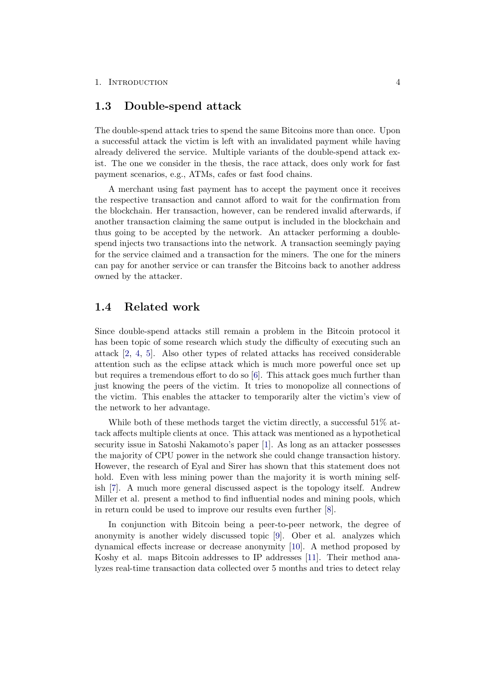### <span id="page-7-0"></span>1.3 Double-spend attack

The double-spend attack tries to spend the same Bitcoins more than once. Upon a successful attack the victim is left with an invalidated payment while having already delivered the service. Multiple variants of the double-spend attack exist. The one we consider in the thesis, the race attack, does only work for fast payment scenarios, e.g., ATMs, cafes or fast food chains.

A merchant using fast payment has to accept the payment once it receives the respective transaction and cannot afford to wait for the confirmation from the blockchain. Her transaction, however, can be rendered invalid afterwards, if another transaction claiming the same output is included in the blockchain and thus going to be accepted by the network. An attacker performing a doublespend injects two transactions into the network. A transaction seemingly paying for the service claimed and a transaction for the miners. The one for the miners can pay for another service or can transfer the Bitcoins back to another address owned by the attacker.

### <span id="page-7-1"></span>1.4 Related work

Since double-spend attacks still remain a problem in the Bitcoin protocol it has been topic of some research which study the difficulty of executing such an attack [\[2,](#page-20-2) [4,](#page-20-4) [5\]](#page-20-5). Also other types of related attacks has received considerable attention such as the eclipse attack which is much more powerful once set up but requires a tremendous effort to do so [\[6\]](#page-20-6). This attack goes much further than just knowing the peers of the victim. It tries to monopolize all connections of the victim. This enables the attacker to temporarily alter the victim's view of the network to her advantage.

While both of these methods target the victim directly, a successful 51% attack affects multiple clients at once. This attack was mentioned as a hypothetical security issue in Satoshi Nakamoto's paper [\[1\]](#page-20-1). As long as an attacker possesses the majority of CPU power in the network she could change transaction history. However, the research of Eyal and Sirer has shown that this statement does not hold. Even with less mining power than the majority it is worth mining selfish [\[7\]](#page-20-7). A much more general discussed aspect is the topology itself. Andrew Miller et al. present a method to find influential nodes and mining pools, which in return could be used to improve our results even further [\[8\]](#page-20-8).

In conjunction with Bitcoin being a peer-to-peer network, the degree of anonymity is another widely discussed topic [\[9\]](#page-20-9). Ober et al. analyzes which dynamical effects increase or decrease anonymity [\[10\]](#page-20-10). A method proposed by Koshy et al. maps Bitcoin addresses to IP addresses [\[11\]](#page-20-11). Their method analyzes real-time transaction data collected over 5 months and tries to detect relay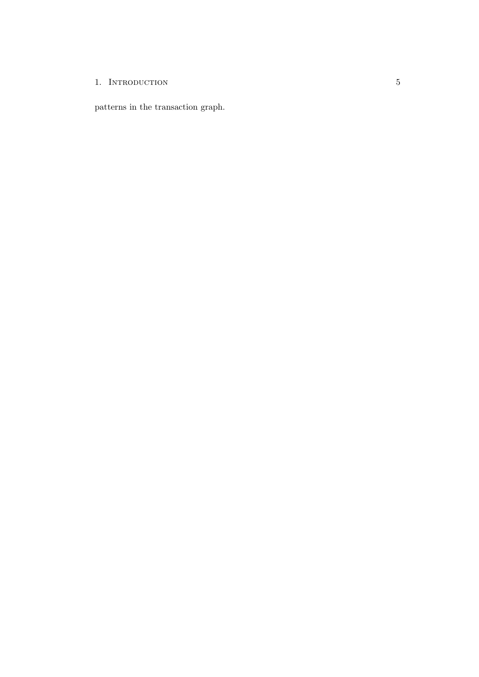### 1. INTRODUCTION 5

patterns in the transaction graph.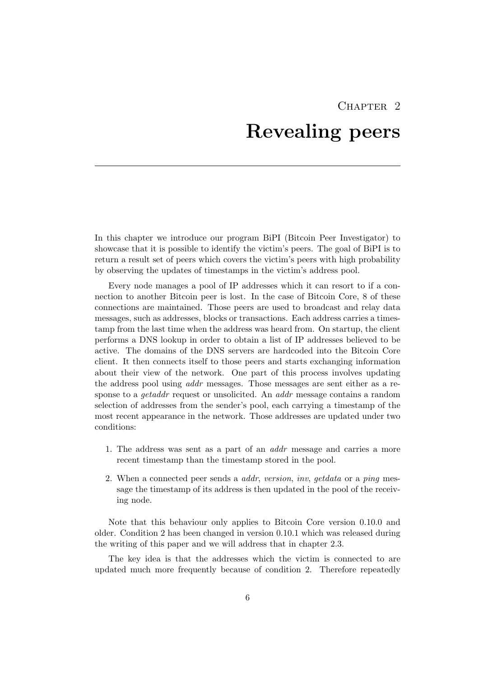## CHAPTER<sub>2</sub>

## Revealing peers

<span id="page-9-0"></span>In this chapter we introduce our program BiPI (Bitcoin Peer Investigator) to showcase that it is possible to identify the victim's peers. The goal of BiPI is to return a result set of peers which covers the victim's peers with high probability by observing the updates of timestamps in the victim's address pool.

Every node manages a pool of IP addresses which it can resort to if a connection to another Bitcoin peer is lost. In the case of Bitcoin Core, 8 of these connections are maintained. Those peers are used to broadcast and relay data messages, such as addresses, blocks or transactions. Each address carries a timestamp from the last time when the address was heard from. On startup, the client performs a DNS lookup in order to obtain a list of IP addresses believed to be active. The domains of the DNS servers are hardcoded into the Bitcoin Core client. It then connects itself to those peers and starts exchanging information about their view of the network. One part of this process involves updating the address pool using addr messages. Those messages are sent either as a response to a *getaddr* request or unsolicited. An *addr* message contains a random selection of addresses from the sender's pool, each carrying a timestamp of the most recent appearance in the network. Those addresses are updated under two conditions:

- 1. The address was sent as a part of an addr message and carries a more recent timestamp than the timestamp stored in the pool.
- 2. When a connected peer sends a *addr*, version, inv, getdata or a ping message the timestamp of its address is then updated in the pool of the receiving node.

Note that this behaviour only applies to Bitcoin Core version 0.10.0 and older. Condition 2 has been changed in version 0.10.1 which was released during the writing of this paper and we will address that in chapter 2.3.

The key idea is that the addresses which the victim is connected to are updated much more frequently because of condition 2. Therefore repeatedly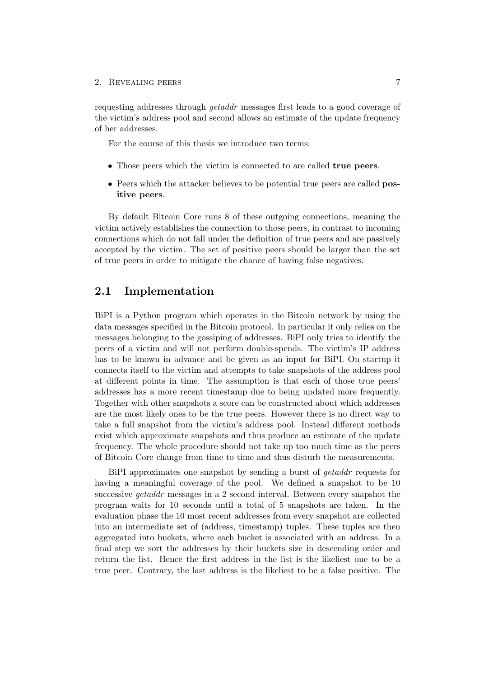#### 2. REVEALING PEERS 7

requesting addresses through getaddr messages first leads to a good coverage of the victim's address pool and second allows an estimate of the update frequency of her addresses.

For the course of this thesis we introduce two terms:

- Those peers which the victim is connected to are called true peers.
- Peers which the attacker believes to be potential true peers are called **pos**itive peers.

By default Bitcoin Core runs 8 of these outgoing connections, meaning the victim actively establishes the connection to those peers, in contrast to incoming connections which do not fall under the definition of true peers and are passively accepted by the victim. The set of positive peers should be larger than the set of true peers in order to mitigate the chance of having false negatives.

### <span id="page-10-0"></span>2.1 Implementation

BiPI is a Python program which operates in the Bitcoin network by using the data messages specified in the Bitcoin protocol. In particular it only relies on the messages belonging to the gossiping of addresses. BiPI only tries to identify the peers of a victim and will not perform double-spends. The victim's IP address has to be known in advance and be given as an input for BiPI. On startup it connects itself to the victim and attempts to take snapshots of the address pool at different points in time. The assumption is that each of those true peers' addresses has a more recent timestamp due to being updated more frequently. Together with other snapshots a score can be constructed about which addresses are the most likely ones to be the true peers. However there is no direct way to take a full snapshot from the victim's address pool. Instead different methods exist which approximate snapshots and thus produce an estimate of the update frequency. The whole procedure should not take up too much time as the peers of Bitcoin Core change from time to time and thus disturb the measurements.

BiPI approximates one snapshot by sending a burst of getaddr requests for having a meaningful coverage of the pool. We defined a snapshot to be 10 successive getaddr messages in a 2 second interval. Between every snapshot the program waits for 10 seconds until a total of 5 snapshots are taken. In the evaluation phase the 10 most recent addresses from every snapshot are collected into an intermediate set of (address, timestamp) tuples. These tuples are then aggregated into buckets, where each bucket is associated with an address. In a final step we sort the addresses by their buckets size in descending order and return the list. Hence the first address in the list is the likeliest one to be a true peer. Contrary, the last address is the likeliest to be a false positive. The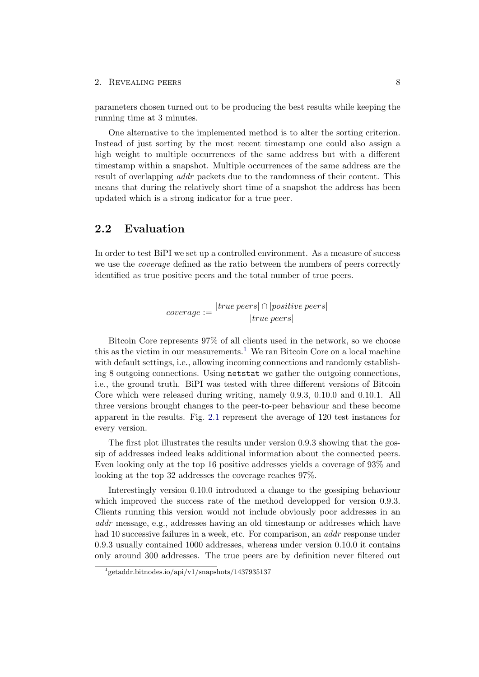#### 2. REVEALING PEERS 8

parameters chosen turned out to be producing the best results while keeping the running time at 3 minutes.

One alternative to the implemented method is to alter the sorting criterion. Instead of just sorting by the most recent timestamp one could also assign a high weight to multiple occurrences of the same address but with a different timestamp within a snapshot. Multiple occurrences of the same address are the result of overlapping addr packets due to the randomness of their content. This means that during the relatively short time of a snapshot the address has been updated which is a strong indicator for a true peer.

### <span id="page-11-0"></span>2.2 Evaluation

In order to test BiPI we set up a controlled environment. As a measure of success we use the *coverage* defined as the ratio between the numbers of peers correctly identified as true positive peers and the total number of true peers.

$$
coverage:=\frac{|true\,pers|\cap|positive\,pers|}{|true\,pers|}
$$

Bitcoin Core represents 97% of all clients used in the network, so we choose this as the victim in our measurements.<sup>[1](#page-11-1)</sup> We ran Bitcoin Core on a local machine with default settings, i.e., allowing incoming connections and randomly establishing 8 outgoing connections. Using netstat we gather the outgoing connections, i.e., the ground truth. BiPI was tested with three different versions of Bitcoin Core which were released during writing, namely 0.9.3, 0.10.0 and 0.10.1. All three versions brought changes to the peer-to-peer behaviour and these become apparent in the results. Fig. [2.1](#page-12-0) represent the average of 120 test instances for every version.

The first plot illustrates the results under version 0.9.3 showing that the gossip of addresses indeed leaks additional information about the connected peers. Even looking only at the top 16 positive addresses yields a coverage of 93% and looking at the top 32 addresses the coverage reaches 97%.

Interestingly version 0.10.0 introduced a change to the gossiping behaviour which improved the success rate of the method developped for version 0.9.3. Clients running this version would not include obviously poor addresses in an addr message, e.g., addresses having an old timestamp or addresses which have had 10 successive failures in a week, etc. For comparison, an *addr* response under 0.9.3 usually contained 1000 addresses, whereas under version 0.10.0 it contains only around 300 addresses. The true peers are by definition never filtered out

<span id="page-11-1"></span><sup>1</sup> getaddr.bitnodes.io/api/v1/snapshots/1437935137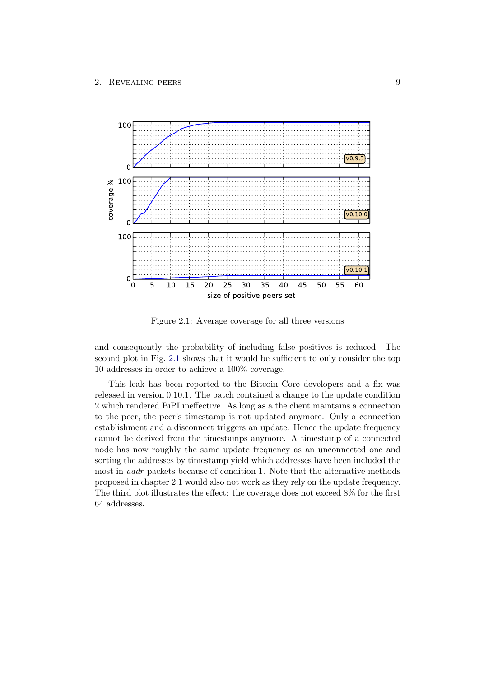

<span id="page-12-0"></span>Figure 2.1: Average coverage for all three versions

and consequently the probability of including false positives is reduced. The second plot in Fig. [2.1](#page-12-0) shows that it would be sufficient to only consider the top 10 addresses in order to achieve a 100% coverage.

This leak has been reported to the Bitcoin Core developers and a fix was released in version 0.10.1. The patch contained a change to the update condition 2 which rendered BiPI ineffective. As long as a the client maintains a connection to the peer, the peer's timestamp is not updated anymore. Only a connection establishment and a disconnect triggers an update. Hence the update frequency cannot be derived from the timestamps anymore. A timestamp of a connected node has now roughly the same update frequency as an unconnected one and sorting the addresses by timestamp yield which addresses have been included the most in addr packets because of condition 1. Note that the alternative methods proposed in chapter 2.1 would also not work as they rely on the update frequency. The third plot illustrates the effect: the coverage does not exceed 8% for the first 64 addresses.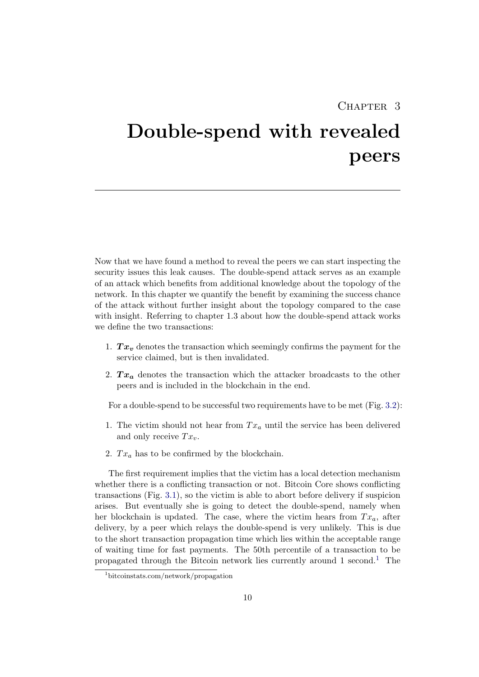## CHAPTER<sub>3</sub>

# <span id="page-13-0"></span>Double-spend with revealed peers

Now that we have found a method to reveal the peers we can start inspecting the security issues this leak causes. The double-spend attack serves as an example of an attack which benefits from additional knowledge about the topology of the network. In this chapter we quantify the benefit by examining the success chance of the attack without further insight about the topology compared to the case with insight. Referring to chapter 1.3 about how the double-spend attack works we define the two transactions:

- 1.  $Tx_v$  denotes the transaction which seemingly confirms the payment for the service claimed, but is then invalidated.
- 2.  $Tx_a$  denotes the transaction which the attacker broadcasts to the other peers and is included in the blockchain in the end.

For a double-spend to be successful two requirements have to be met (Fig. [3.2\)](#page-15-1):

- 1. The victim should not hear from  $Tx_a$  until the service has been delivered and only receive  $Tx_v$ .
- 2.  $Tx_a$  has to be confirmed by the blockchain.

The first requirement implies that the victim has a local detection mechanism whether there is a conflicting transaction or not. Bitcoin Core shows conflicting transactions (Fig. [3.1\)](#page-14-0), so the victim is able to abort before delivery if suspicion arises. But eventually she is going to detect the double-spend, namely when her blockchain is updated. The case, where the victim hears from  $Tx_a$ , after delivery, by a peer which relays the double-spend is very unlikely. This is due to the short transaction propagation time which lies within the acceptable range of waiting time for fast payments. The 50th percentile of a transaction to be propagated through the Bitcoin network lies currently around  $1$  second.<sup>1</sup> The

<span id="page-13-1"></span><sup>1</sup>bitcoinstats.com/network/propagation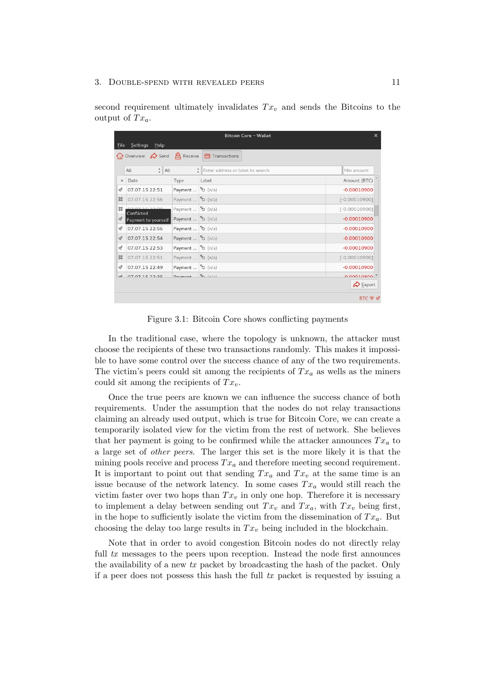#### 3. DOUBLE-SPEND WITH REVEALED PEERS 11

second requirement ultimately invalidates  $Tx_v$  and sends the Bitcoins to the output of  $Tx_a$ .

|                           | no Overview <b>C</b> Send <b>&amp;</b> Receive |                                   | <b>a</b> Transactions                          |                 |
|---------------------------|------------------------------------------------|-----------------------------------|------------------------------------------------|-----------------|
|                           | $\frac{4}{7}$ All<br>All                       |                                   | $\frac{4}{9}$ Enter address or label to search | Min amount      |
| $\Delta$                  | Date                                           | Type                              | Label                                          | Amount (BTC)    |
| ჟ                         | 07.07.15 22:51                                 | Payment                           | <sup>5</sup> ර් (n/a)                          | $-0.00010900$   |
| జ                         | 07.07.15 22:56                                 | Payment                           | <sup>5</sup> ර් (n/a)                          | $[-0.00010900]$ |
| ℬ                         | 071533.00<br>Conflicted                        | Payment                           | $\frac{5}{2}$ (n/a)                            | $[-0.00010900]$ |
| $\mathcal Q$              | Payment to yourself                            | Payment                           | $\mathbb{S}$ (n/a)                             | $-0.00010900$   |
| ℐ                         | 07.07.15 22:56                                 | Payment                           | <sup>5</sup> b (n/a)                           | $-0.00010900$   |
| $\mathcal{Q}$             | 07.07.15 22:54                                 | Payment                           | <sup>5</sup> ර් (n/a)                          | $-0.00010900$   |
| ℐ                         | 07.07.15 22:53                                 | Payment                           | $\frac{5}{2}$ (n/a)                            | $-0.00010900$   |
| $\boldsymbol{\mathbb{Z}}$ | 07.07.15 22:51                                 | Payment                           | <sup>5</sup> ර් (n/a)                          | $[-0.00010900]$ |
| ℐ                         | 07.07.15 22:49                                 | Payment                           | <sup>5</sup> ර් (n/a)                          | $-0.00010900$   |
| $\sqrt{2}$                | 070715225                                      | $D$ <sub>1</sub> $m$ <sup>+</sup> | $5 - 1 - 1$                                    | 0.00010800      |

<span id="page-14-0"></span>Figure 3.1: Bitcoin Core shows conflicting payments

In the traditional case, where the topology is unknown, the attacker must choose the recipients of these two transactions randomly. This makes it impossible to have some control over the success chance of any of the two requirements. The victim's peers could sit among the recipients of  $Tx_a$  as wells as the miners could sit among the recipients of  $Tx_v$ .

Once the true peers are known we can influence the success chance of both requirements. Under the assumption that the nodes do not relay transactions claiming an already used output, which is true for Bitcoin Core, we can create a temporarily isolated view for the victim from the rest of network. She believes that her payment is going to be confirmed while the attacker announces  $Tx_a$  to a large set of other peers. The larger this set is the more likely it is that the mining pools receive and process  $Tx_a$  and therefore meeting second requirement. It is important to point out that sending  $Tx_a$  and  $Tx_v$  at the same time is an issue because of the network latency. In some cases  $Tx_a$  would still reach the victim faster over two hops than  $Tx_v$  in only one hop. Therefore it is necessary to implement a delay between sending out  $Tx_v$  and  $Tx_a$ , with  $Tx_v$  being first, in the hope to sufficiently isolate the victim from the dissemination of  $Tx_a$ . But choosing the delay too large results in  $Tx_v$  being included in the blockchain.

Note that in order to avoid congestion Bitcoin nodes do not directly relay full tx messages to the peers upon reception. Instead the node first announces the availability of a new tx packet by broadcasting the hash of the packet. Only if a peer does not possess this hash the full  $tx$  packet is requested by issuing a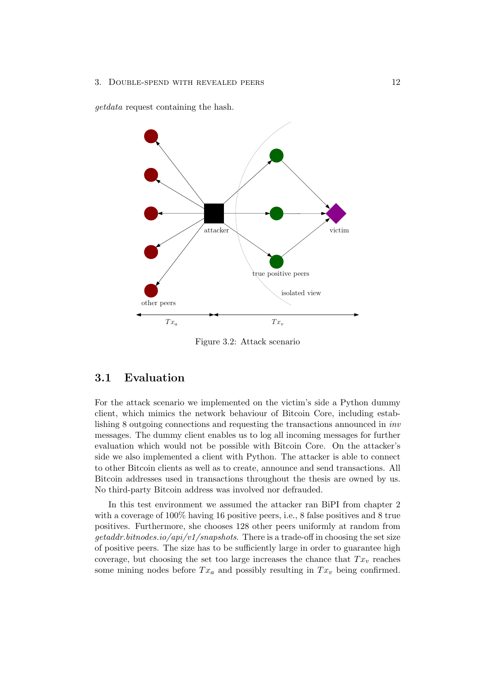getdata request containing the hash.



<span id="page-15-1"></span>Figure 3.2: Attack scenario

## <span id="page-15-0"></span>3.1 Evaluation

For the attack scenario we implemented on the victim's side a Python dummy client, which mimics the network behaviour of Bitcoin Core, including establishing 8 outgoing connections and requesting the transactions announced in inv messages. The dummy client enables us to log all incoming messages for further evaluation which would not be possible with Bitcoin Core. On the attacker's side we also implemented a client with Python. The attacker is able to connect to other Bitcoin clients as well as to create, announce and send transactions. All Bitcoin addresses used in transactions throughout the thesis are owned by us. No third-party Bitcoin address was involved nor defrauded.

In this test environment we assumed the attacker ran BiPI from chapter 2 with a coverage of 100% having 16 positive peers, i.e., 8 false positives and 8 true positives. Furthermore, she chooses 128 other peers uniformly at random from  $qeta dr, bit nodes.io/api/v1/snapshots. There is a trade-off in choosing the set size$ of positive peers. The size has to be sufficiently large in order to guarantee high coverage, but choosing the set too large increases the chance that  $Tx_v$  reaches some mining nodes before  $Tx_a$  and possibly resulting in  $Tx_v$  being confirmed.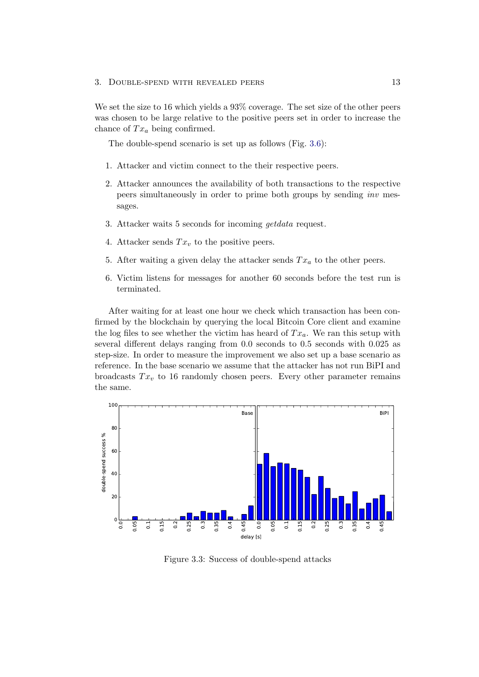We set the size to 16 which yields a 93% coverage. The set size of the other peers was chosen to be large relative to the positive peers set in order to increase the chance of  $Tx_a$  being confirmed.

The double-spend scenario is set up as follows (Fig. [3.6\)](#page-18-1):

- 1. Attacker and victim connect to the their respective peers.
- 2. Attacker announces the availability of both transactions to the respective peers simultaneously in order to prime both groups by sending inv messages.
- 3. Attacker waits 5 seconds for incoming getdata request.
- 4. Attacker sends  $Tx_v$  to the positive peers.
- 5. After waiting a given delay the attacker sends  $Tx_a$  to the other peers.
- 6. Victim listens for messages for another 60 seconds before the test run is terminated.

After waiting for at least one hour we check which transaction has been confirmed by the blockchain by querying the local Bitcoin Core client and examine the log files to see whether the victim has heard of  $Tx_a$ . We ran this setup with several different delays ranging from 0.0 seconds to 0.5 seconds with 0.025 as step-size. In order to measure the improvement we also set up a base scenario as reference. In the base scenario we assume that the attacker has not run BiPI and broadcasts  $Tx_v$  to 16 randomly chosen peers. Every other parameter remains the same.



<span id="page-16-0"></span>Figure 3.3: Success of double-spend attacks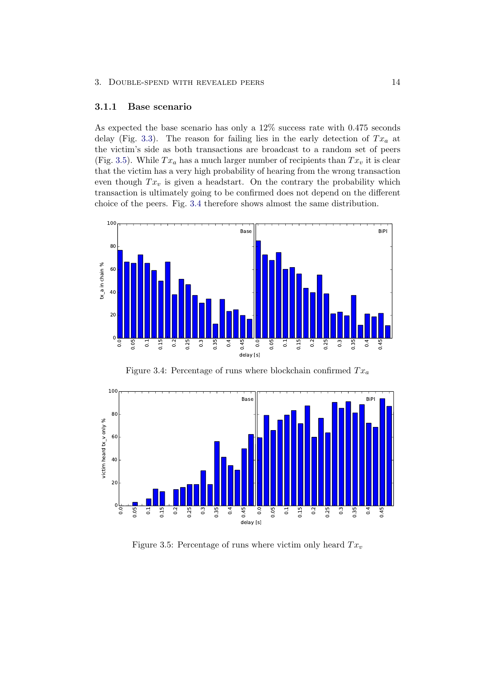#### <span id="page-17-0"></span>3.1.1 Base scenario

As expected the base scenario has only a 12% success rate with 0.475 seconds delay (Fig. [3.3\)](#page-16-0). The reason for failing lies in the early detection of  $Tx_a$  at the victim's side as both transactions are broadcast to a random set of peers (Fig. [3.5\)](#page-17-1). While  $Tx_a$  has a much larger number of recipients than  $Tx_v$  it is clear that the victim has a very high probability of hearing from the wrong transaction even though  $Tx_v$  is given a headstart. On the contrary the probability which transaction is ultimately going to be confirmed does not depend on the different choice of the peers. Fig. [3.4](#page-17-2) therefore shows almost the same distribution.



<span id="page-17-2"></span>Figure 3.4: Percentage of runs where blockchain confirmed  $Tx_a$ 



<span id="page-17-1"></span>Figure 3.5: Percentage of runs where victim only heard  $Tx_v$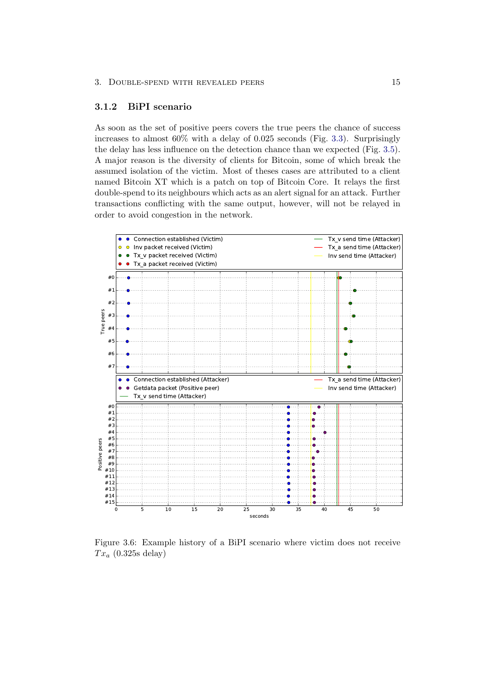#### <span id="page-18-0"></span>3.1.2 BiPI scenario

As soon as the set of positive peers covers the true peers the chance of success increases to almost  $60\%$  with a delay of 0.025 seconds (Fig. [3.3\)](#page-16-0). Surprisingly the delay has less influence on the detection chance than we expected (Fig. [3.5\)](#page-17-1). A major reason is the diversity of clients for Bitcoin, some of which break the assumed isolation of the victim. Most of theses cases are attributed to a client named Bitcoin XT which is a patch on top of Bitcoin Core. It relays the first double-spend to its neighbours which acts as an alert signal for an attack. Further transactions conflicting with the same output, however, will not be relayed in order to avoid congestion in the network.



<span id="page-18-1"></span>Figure 3.6: Example history of a BiPI scenario where victim does not receive  $Tx_a$  (0.325s delay)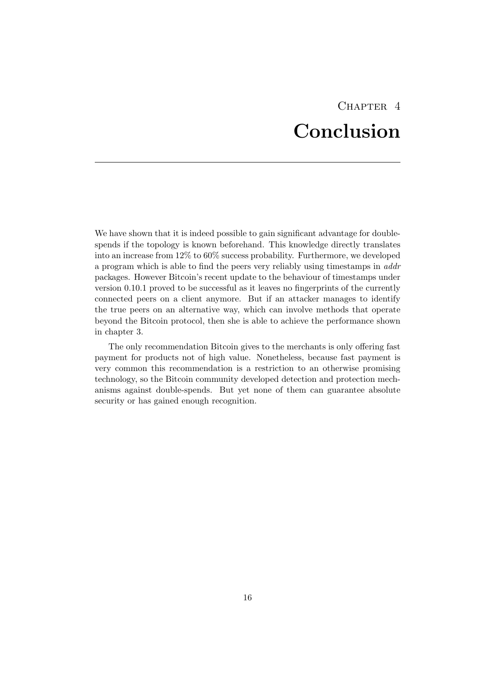## CHAPTER<sub>4</sub> Conclusion

<span id="page-19-0"></span>We have shown that it is indeed possible to gain significant advantage for doublespends if the topology is known beforehand. This knowledge directly translates into an increase from 12% to 60% success probability. Furthermore, we developed a program which is able to find the peers very reliably using timestamps in addr packages. However Bitcoin's recent update to the behaviour of timestamps under version 0.10.1 proved to be successful as it leaves no fingerprints of the currently connected peers on a client anymore. But if an attacker manages to identify the true peers on an alternative way, which can involve methods that operate beyond the Bitcoin protocol, then she is able to achieve the performance shown in chapter 3.

The only recommendation Bitcoin gives to the merchants is only offering fast payment for products not of high value. Nonetheless, because fast payment is very common this recommendation is a restriction to an otherwise promising technology, so the Bitcoin community developed detection and protection mechanisms against double-spends. But yet none of them can guarantee absolute security or has gained enough recognition.